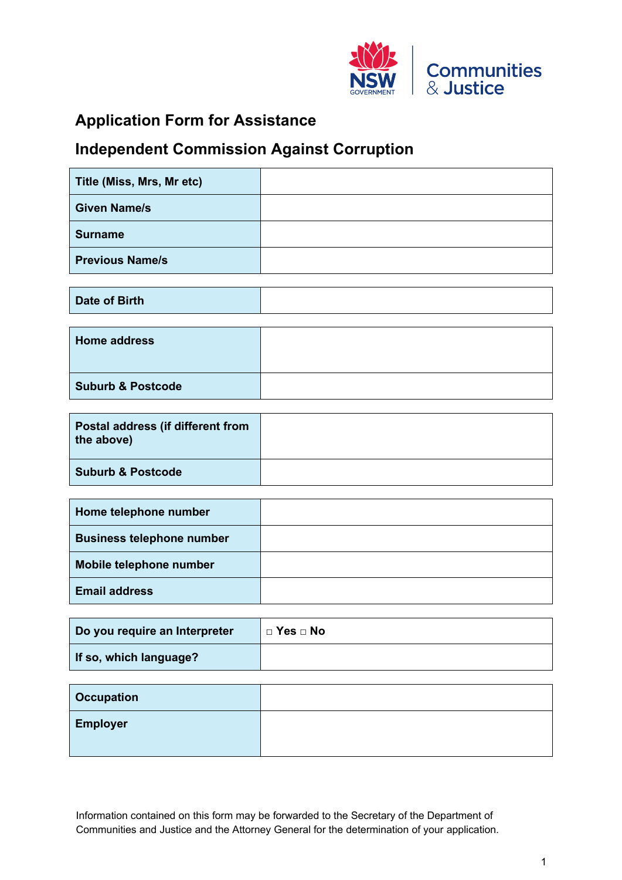

## **Application Form for Assistance**

## **Independent Commission Against Corruption**

| Title (Miss, Mrs, Mr etc) |  |
|---------------------------|--|
| <b>Given Name/s</b>       |  |
| <b>Surname</b>            |  |
| <b>Previous Name/s</b>    |  |

**Date of Birth**

| <b>Home address</b>          |  |
|------------------------------|--|
| <b>Suburb &amp; Postcode</b> |  |

| Postal address (if different from<br>the above) |  |
|-------------------------------------------------|--|
| <b>Suburb &amp; Postcode</b>                    |  |

| Home telephone number            |  |
|----------------------------------|--|
| <b>Business telephone number</b> |  |
| Mobile telephone number          |  |
| <b>Email address</b>             |  |

| Do you require an Interpreter |  |
|-------------------------------|--|
| If so, which language?        |  |

| <b>Occupation</b> |  |
|-------------------|--|
| <b>Employer</b>   |  |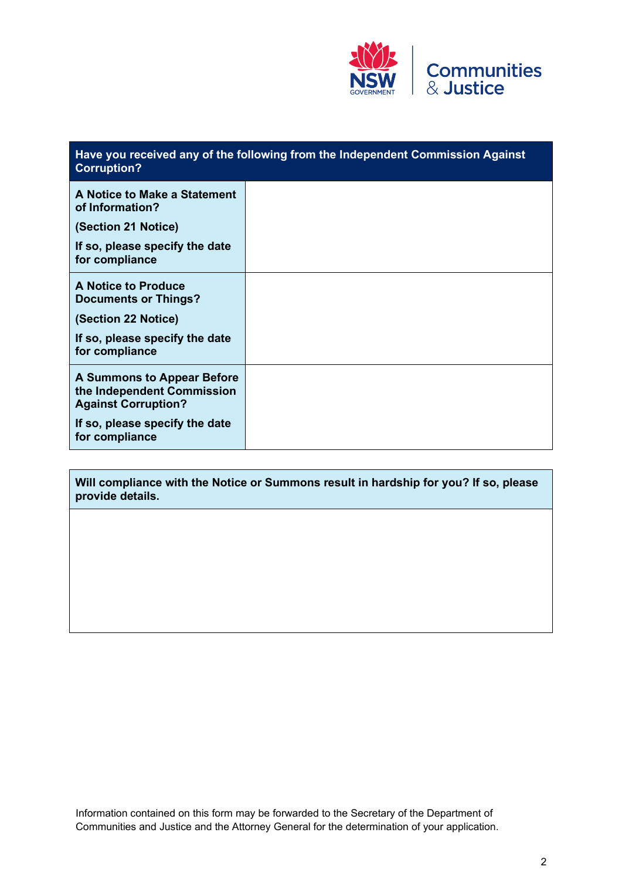

### **Have you received any of the following from the Independent Commission Against Corruption? A Notice to Make a Statement of Information? (Section 21 Notice) If so, please specify the date for compliance A Notice to Produce Documents or Things? (Section 22 Notice) If so, please specify the date for compliance A Summons to Appear Before the Independent Commission Against Corruption? If so, please specify the date for compliance**

**Will compliance with the Notice or Summons result in hardship for you? If so, please provide details.**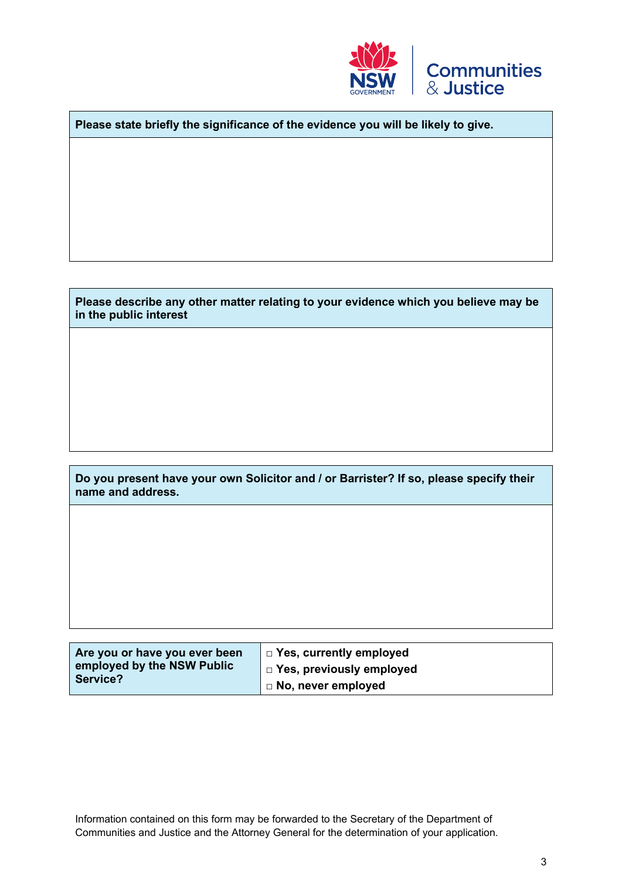

**Please state briefly the significance of the evidence you will be likely to give.**

#### **Please describe any other matter relating to your evidence which you believe may be in the public interest**

**Do you present have your own Solicitor and / or Barrister? If so, please specify their name and address.** 

| Are you or have you ever been | $\Box$ Yes, currently employed          |
|-------------------------------|-----------------------------------------|
| employed by the NSW Public    | $\vert$ $\Box$ Yes, previously employed |
| Service?                      | $\Box$ No, never employed               |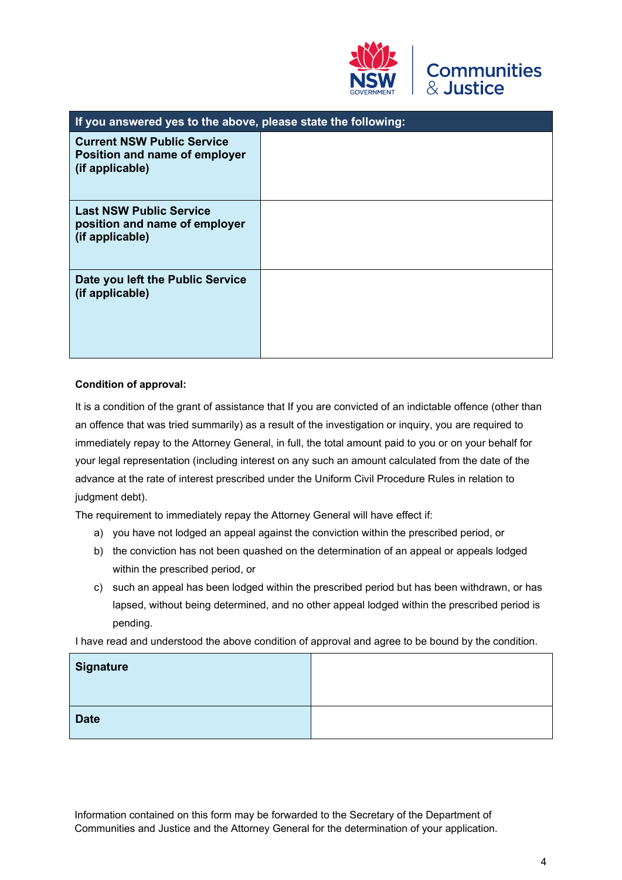

| If you answered yes to the above, please state the following:                         |  |  |
|---------------------------------------------------------------------------------------|--|--|
| <b>Current NSW Public Service</b><br>Position and name of employer<br>(if applicable) |  |  |
| <b>Last NSW Public Service</b><br>position and name of employer<br>(if applicable)    |  |  |
| Date you left the Public Service<br>(if applicable)                                   |  |  |

#### **Condition of approval:**

It is a condition of the grant of assistance that If you are convicted of an indictable offence (other than an offence that was tried summarily) as a result of the investigation or inquiry, you are required to immediately repay to the Attorney General, in full, the total amount paid to you or on your behalf for your legal representation (including interest on any such an amount calculated from the date of the advance at the rate of interest prescribed under the Uniform Civil Procedure Rules in relation to judgment debt).

The requirement to immediately repay the Attorney General will have effect if:

- a) you have not lodged an appeal against the conviction within the prescribed period, or
- b) the conviction has not been quashed on the determination of an appeal or appeals lodged within the prescribed period, or
- c) such an appeal has been lodged within the prescribed period but has been withdrawn, or has lapsed, without being determined, and no other appeal lodged within the prescribed period is pending.

I have read and understood the above condition of approval and agree to be bound by the condition.

| Signature   |  |
|-------------|--|
| <b>Date</b> |  |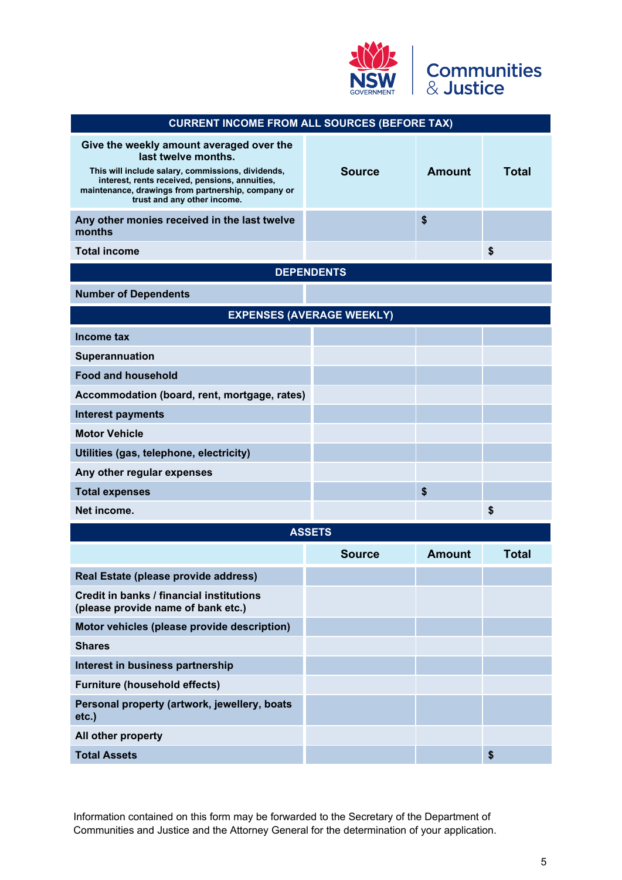

| <b>CURRENT INCOME FROM ALL SOURCES (BEFORE TAX)</b>                                                                                                                                                                                                         |                                  |               |              |
|-------------------------------------------------------------------------------------------------------------------------------------------------------------------------------------------------------------------------------------------------------------|----------------------------------|---------------|--------------|
| Give the weekly amount averaged over the<br>last twelve months.<br>This will include salary, commissions, dividends,<br>interest, rents received, pensions, annuities,<br>maintenance, drawings from partnership, company or<br>trust and any other income. | <b>Source</b>                    | <b>Amount</b> | <b>Total</b> |
| Any other monies received in the last twelve<br>months                                                                                                                                                                                                      |                                  | \$            |              |
| <b>Total income</b>                                                                                                                                                                                                                                         |                                  |               | \$           |
|                                                                                                                                                                                                                                                             | <b>DEPENDENTS</b>                |               |              |
| <b>Number of Dependents</b>                                                                                                                                                                                                                                 |                                  |               |              |
|                                                                                                                                                                                                                                                             | <b>EXPENSES (AVERAGE WEEKLY)</b> |               |              |
| Income tax                                                                                                                                                                                                                                                  |                                  |               |              |
| <b>Superannuation</b>                                                                                                                                                                                                                                       |                                  |               |              |
| <b>Food and household</b>                                                                                                                                                                                                                                   |                                  |               |              |
| Accommodation (board, rent, mortgage, rates)                                                                                                                                                                                                                |                                  |               |              |
| <b>Interest payments</b>                                                                                                                                                                                                                                    |                                  |               |              |
| <b>Motor Vehicle</b>                                                                                                                                                                                                                                        |                                  |               |              |
| Utilities (gas, telephone, electricity)                                                                                                                                                                                                                     |                                  |               |              |
| Any other regular expenses                                                                                                                                                                                                                                  |                                  |               |              |
| <b>Total expenses</b>                                                                                                                                                                                                                                       |                                  | \$            |              |
| Net income.                                                                                                                                                                                                                                                 |                                  |               | \$           |
|                                                                                                                                                                                                                                                             | <b>ASSETS</b>                    |               |              |
|                                                                                                                                                                                                                                                             | <b>Source</b>                    | <b>Amount</b> | <b>Total</b> |
| Real Estate (please provide address)                                                                                                                                                                                                                        |                                  |               |              |
| Credit in banks / financial institutions<br>(please provide name of bank etc.)                                                                                                                                                                              |                                  |               |              |
| Motor vehicles (please provide description)                                                                                                                                                                                                                 |                                  |               |              |
| <b>Shares</b>                                                                                                                                                                                                                                               |                                  |               |              |
| Interest in business partnership                                                                                                                                                                                                                            |                                  |               |              |
| <b>Furniture (household effects)</b>                                                                                                                                                                                                                        |                                  |               |              |
| Personal property (artwork, jewellery, boats<br>$etc.$ )                                                                                                                                                                                                    |                                  |               |              |
| All other property                                                                                                                                                                                                                                          |                                  |               |              |
| <b>Total Assets</b>                                                                                                                                                                                                                                         |                                  |               | \$           |